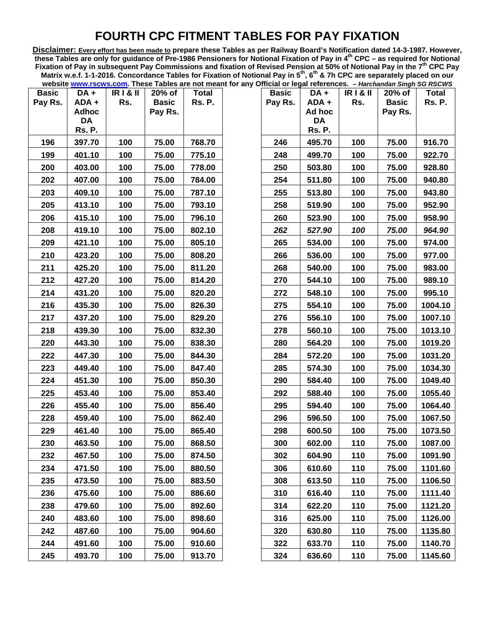| <b>Basic</b> | DA +        | <b>IRI&amp;II</b> | 20% of       | <b>Total</b>  |
|--------------|-------------|-------------------|--------------|---------------|
| Pay Rs.      | ADA +       | Rs.               | <b>Basic</b> | <b>Rs. P.</b> |
|              | Adhoc<br>DA |                   | Pay Rs.      |               |
|              | Rs. P.      |                   |              |               |
| 196          | 397.70      | 100               | 75.00        | 768.70        |
| 199          | 401.10      | 100               | 75.00        | 775.10        |
| 200          | 403.00      | 100               | 75.00        | 778.00        |
| 202          | 407.00      | 100               | 75.00        | 784.00        |
| 203          | 409.10      | 100               | 75.00        | 787.10        |
| 205          | 413.10      | 100               | 75.00        | 793.10        |
| 206          | 415.10      | 100               | 75.00        | 796.10        |
| 208          | 419.10      | 100               | 75.00        | 802.10        |
| 209          | 421.10      | 100               | 75.00        | 805.10        |
| 210          | 423.20      | 100               | 75.00        | 808.20        |
| 211          | 425.20      | 100               | 75.00        | 811.20        |
| 212          | 427.20      | 100               | 75.00        | 814.20        |
| 214          | 431.20      | 100               | 75.00        | 820.20        |
| 216          | 435.30      | 100               | 75.00        | 826.30        |
| 217          | 437.20      | 100               | 75.00        | 829.20        |
| 218          | 439.30      | 100               | 75.00        | 832.30        |
| 220          | 443.30      | 100               | 75.00        | 838.30        |
| 222          | 447.30      | 100               | 75.00        | 844.30        |
| 223          | 449.40      | 100               | 75.00        | 847.40        |
| 224          | 451.30      | 100               | 75.00        | 850.30        |
| 225          | 453.40      | 100               | 75.00        | 853.40        |
| 226          | 455.40      | 100               | 75.00        | 856.40        |
| 228          | 459.40      | 100               | 75.00        | 862.40        |
| 229          | 461.40      | 100               | 75.00        | 865.40        |
| 230          | 463.50      | 100               | 75.00        | 868.50        |
| 232          | 467.50      | 100               | 75.00        | 874.50        |
| 234          | 471.50      | 100               | 75.00        | 880.50        |
| 235          | 473.50      | 100               | 75.00        | 883.50        |
| 236          | 475.60      | 100               | 75.00        | 886.60        |
| 238          | 479.60      | 100               | 75.00        | 892.60        |
| 240          | 483.60      | 100               | 75.00        | 898.60        |
| 242          | 487.60      | 100               | 75.00        | 904.60        |
| 244          | 491.60      | 100               | 75.00        | 910.60        |
| 245          | 493.70      | 100               | 75.00        | 913.70        |

| <b>Basic</b> | DA +          | <b>IRI&amp;II</b> | 20% of       | <b>Total</b>  |
|--------------|---------------|-------------------|--------------|---------------|
| Pay Rs.      | ADA+          | Rs.               | <b>Basic</b> | <b>Rs. P.</b> |
|              | Ad hoc<br>DA  |                   | Pay Rs.      |               |
|              | <b>Rs. P.</b> |                   |              |               |
| 246          | 495.70        | 100               | 75.00        | 916.70        |
| 248          | 499.70        | 100               | 75.00        | 922.70        |
| 250          | 503.80        | 100               | 75.00        | 928.80        |
| 254          | 511.80        | 100               | 75.00        | 940.80        |
| 255          | 513.80        | 100               | 75.00        | 943.80        |
| 258          | 519.90        | 100               | 75.00        | 952.90        |
| 260          | 523.90        | 100               | 75.00        | 958.90        |
| 262          | 527.90        | 100               | 75.00        | 964.90        |
| 265          | 534.00        | 100               | 75.00        | 974.00        |
| 266          | 536.00        | 100               | 75.00        | 977.00        |
| 268          | 540.00        | 100               | 75.00        | 983.00        |
| 270          | 544.10        | 100               | 75.00        | 989.10        |
| 272          | 548.10        | 100               | 75.00        | 995.10        |
| 275          | 554.10        | 100               | 75.00        | 1004.10       |
| 276          | 556.10        | 100               | 75.00        | 1007.10       |
| 278          | 560.10        | 100               | 75.00        | 1013.10       |
| 280          | 564.20        | 100               | 75.00        | 1019.20       |
| 284          | 572.20        | 100               | 75.00        | 1031.20       |
| 285          | 574.30        | 100               | 75.00        | 1034.30       |
| 290          | 584.40        | 100               | 75.00        | 1049.40       |
| 292          | 588.40        | 100               | 75.00        | 1055.40       |
| 295          | 594.40        | 100               | 75.00        | 1064.40       |
| 296          | 596.50        | 100               | 75.00        | 1067.50       |
| 298          | 600.50        | 100               | 75.00        | 1073.50       |
| 300          | 602.00        | 110               | 75.00        | 1087.00       |
| 302          | 604.90        | 110               | 75.00        | 1091.90       |
| 306          | 610.60        | 110               | 75.00        | 1101.60       |
| 308          | 613.50        | 110               | 75.00        | 1106.50       |
| 310          | 616.40        | 110               | 75.00        | 1111.40       |
| 314          | 622.20        | 110               | 75.00        | 1121.20       |
| 316          | 625.00        | 110               | 75.00        | 1126.00       |
| 320          | 630.80        | 110               | 75.00        | 1135.80       |
| 322          | 633.70        | 110               | 75.00        | 1140.70       |
| 324          | 636.60        | 110               | 75.00        | 1145.60       |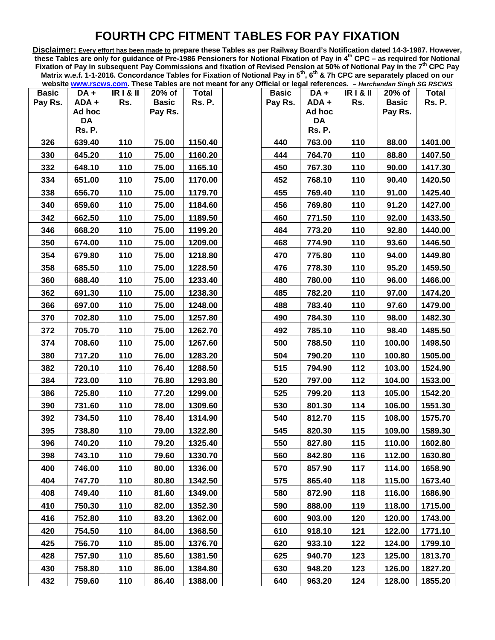| <b>Basic</b> | DA +            | <b>IRI&amp;II</b> | 20% of                  | <b>Total</b>  |
|--------------|-----------------|-------------------|-------------------------|---------------|
| Pay Rs.      | ADA +<br>Ad hoc | Rs.               | <b>Basic</b><br>Pay Rs. | <b>Rs. P.</b> |
|              | DA              |                   |                         |               |
|              | <b>Rs. P.</b>   |                   |                         |               |
| 326          | 639.40          | 110               | 75.00                   | 1150.40       |
| 330          | 645.20          | 110               | 75.00                   | 1160.20       |
| 332          | 648.10          | 110               | 75.00                   | 1165.10       |
| 334          | 651.00          | 110               | 75.00                   | 1170.00       |
| 338          | 656.70          | 110               | 75.00                   | 1179.70       |
| 340          | 659.60          | 110               | 75.00                   | 1184.60       |
| 342          | 662.50          | 110               | 75.00                   | 1189.50       |
| 346          | 668.20          | 110               | 75.00                   | 1199.20       |
| 350          | 674.00          | 110               | 75.00                   | 1209.00       |
| 354          | 679.80          | 110               | 75.00                   | 1218.80       |
| 358          | 685.50          | 110               | 75.00                   | 1228.50       |
| 360          | 688.40          | 110               | 75.00                   | 1233.40       |
| 362          | 691.30          | 110               | 75.00                   | 1238.30       |
| 366          | 697.00          | 110               | 75.00                   | 1248.00       |
| 370          | 702.80          | 110               | 75.00                   | 1257.80       |
| 372          | 705.70          | 110               | 75.00                   | 1262.70       |
| 374          | 708.60          | 110               | 75.00                   | 1267.60       |
| 380          | 717.20          | 110               | 76.00                   | 1283.20       |
| 382          | 720.10          | 110               | 76.40                   | 1288.50       |
| 384          | 723.00          | 110               | 76.80                   | 1293.80       |
| 386          | 725.80          | 110               | 77.20                   | 1299.00       |
| 390          | 731.60          | 110               | 78.00                   | 1309.60       |
| 392          | 734.50          | 110               | 78.40                   | 1314.90       |
| 395          | 738.80          | 110               | 79.00                   | 1322.80       |
| 396          | 740.20          | 110               | 79.20                   | 1325.40       |
| 398          | 743.10          | 110               | 79.60                   | 1330.70       |
| 400          | 746.00          | 110               | 80.00                   | 1336.00       |
| 404          | 747.70          | 110               | 80.80                   | 1342.50       |
| 408          | 749.40          | 110               | 81.60                   | 1349.00       |
| 410          | 750.30          | 110               | 82.00                   | 1352.30       |
| 416          | 752.80          | 110               | 83.20                   | 1362.00       |
| 420          | 754.50          | 110               | 84.00                   | 1368.50       |
| 425          | 756.70          | 110               | 85.00                   | 1376.70       |
| 428          | 757.90          | 110               | 85.60                   | 1381.50       |
| 430          | 758.80          | 110               | 86.00                   | 1384.80       |
| 432          | 759.60          | 110               | 86.40                   | 1388.00       |

| Ad hoc<br>Pay Rs.<br>DA<br>Rs. P.<br>440<br>110<br>1401.00<br>763.00<br>88.00<br>444<br>764.70<br>110<br>88.80<br>1407.50<br>450<br>767.30<br>110<br>90.00<br>1417.30<br>452<br>110<br>768.10<br>90.40<br>1420.50<br>455<br>769.40<br>110<br>91.00<br>1425.40<br>456<br>769.80<br>110<br>91.20<br>1427.00<br>460<br>771.50<br>110<br>1433.50<br>92.00<br>464<br>110<br>1440.00<br>773.20<br>92.80<br>468<br>1446.50<br>774.90<br>110<br>93.60<br>470<br>775.80<br>110<br>94.00<br>1449.80<br>110<br>476<br>778.30<br>95.20<br>1459.50<br>480<br>780.00<br>110<br>96.00<br>1466.00<br>485<br>110<br>97.00<br>1474.20<br>782.20<br>488<br>783.40<br>110<br>97.60<br>1479.00<br>490<br>784.30<br>110<br>98.00<br>1482.30<br>492<br>785.10<br>110<br>98.40<br>1485.50<br>500<br>788.50<br>110<br>100.00<br>1498.50<br>504<br>790.20<br>110<br>100.80<br>1505.00<br>515<br>112<br>103.00<br>1524.90<br>794.90<br>520<br>797.00<br>112<br>104.00<br>1533.00<br>799.20<br>113<br>105.00<br>1542.20<br>525<br>530<br>801.30<br>114<br>106.00<br>1551.30<br>115<br>540<br>812.70<br>108.00<br>1575.70<br>545<br>820.30<br>115<br>109.00<br>1589.30<br>550<br>827.80<br>115<br>110.00<br>1602.80<br>560<br>112.00<br>1630.80<br>116<br>842.80<br>570<br>117<br>114.00<br>857.90<br>1658.90<br>1673.40<br>575<br>865.40<br>118<br>115.00<br>580<br>872.90<br>118<br>116.00<br>1686.90<br>590<br>119<br>118.00<br>888.00<br>1715.00<br>600<br>903.00<br>120<br>120.00<br>1743.00<br>610<br>918.10<br>121<br>122.00<br>1771.10<br>620<br>933.10<br>122<br>124.00<br>1799.10<br>625<br>940.70<br>123<br>125.00<br>1813.70<br>630<br>948.20<br>123<br>126.00<br>1827.20 | <b>Basic</b><br>Pay Rs. | DA +<br>ADA + | <b>IRI&amp;II</b><br>Rs. | 20% of<br><b>Basic</b> | <b>Total</b><br><b>Rs. P.</b> |
|----------------------------------------------------------------------------------------------------------------------------------------------------------------------------------------------------------------------------------------------------------------------------------------------------------------------------------------------------------------------------------------------------------------------------------------------------------------------------------------------------------------------------------------------------------------------------------------------------------------------------------------------------------------------------------------------------------------------------------------------------------------------------------------------------------------------------------------------------------------------------------------------------------------------------------------------------------------------------------------------------------------------------------------------------------------------------------------------------------------------------------------------------------------------------------------------------------------------------------------------------------------------------------------------------------------------------------------------------------------------------------------------------------------------------------------------------------------------------------------------------------------------------------------------------------------------------------------------------------------------------------------------------------|-------------------------|---------------|--------------------------|------------------------|-------------------------------|
|                                                                                                                                                                                                                                                                                                                                                                                                                                                                                                                                                                                                                                                                                                                                                                                                                                                                                                                                                                                                                                                                                                                                                                                                                                                                                                                                                                                                                                                                                                                                                                                                                                                          |                         |               |                          |                        |                               |
|                                                                                                                                                                                                                                                                                                                                                                                                                                                                                                                                                                                                                                                                                                                                                                                                                                                                                                                                                                                                                                                                                                                                                                                                                                                                                                                                                                                                                                                                                                                                                                                                                                                          |                         |               |                          |                        |                               |
|                                                                                                                                                                                                                                                                                                                                                                                                                                                                                                                                                                                                                                                                                                                                                                                                                                                                                                                                                                                                                                                                                                                                                                                                                                                                                                                                                                                                                                                                                                                                                                                                                                                          |                         |               |                          |                        |                               |
|                                                                                                                                                                                                                                                                                                                                                                                                                                                                                                                                                                                                                                                                                                                                                                                                                                                                                                                                                                                                                                                                                                                                                                                                                                                                                                                                                                                                                                                                                                                                                                                                                                                          |                         |               |                          |                        |                               |
|                                                                                                                                                                                                                                                                                                                                                                                                                                                                                                                                                                                                                                                                                                                                                                                                                                                                                                                                                                                                                                                                                                                                                                                                                                                                                                                                                                                                                                                                                                                                                                                                                                                          |                         |               |                          |                        |                               |
|                                                                                                                                                                                                                                                                                                                                                                                                                                                                                                                                                                                                                                                                                                                                                                                                                                                                                                                                                                                                                                                                                                                                                                                                                                                                                                                                                                                                                                                                                                                                                                                                                                                          |                         |               |                          |                        |                               |
|                                                                                                                                                                                                                                                                                                                                                                                                                                                                                                                                                                                                                                                                                                                                                                                                                                                                                                                                                                                                                                                                                                                                                                                                                                                                                                                                                                                                                                                                                                                                                                                                                                                          |                         |               |                          |                        |                               |
|                                                                                                                                                                                                                                                                                                                                                                                                                                                                                                                                                                                                                                                                                                                                                                                                                                                                                                                                                                                                                                                                                                                                                                                                                                                                                                                                                                                                                                                                                                                                                                                                                                                          |                         |               |                          |                        |                               |
|                                                                                                                                                                                                                                                                                                                                                                                                                                                                                                                                                                                                                                                                                                                                                                                                                                                                                                                                                                                                                                                                                                                                                                                                                                                                                                                                                                                                                                                                                                                                                                                                                                                          |                         |               |                          |                        |                               |
|                                                                                                                                                                                                                                                                                                                                                                                                                                                                                                                                                                                                                                                                                                                                                                                                                                                                                                                                                                                                                                                                                                                                                                                                                                                                                                                                                                                                                                                                                                                                                                                                                                                          |                         |               |                          |                        |                               |
|                                                                                                                                                                                                                                                                                                                                                                                                                                                                                                                                                                                                                                                                                                                                                                                                                                                                                                                                                                                                                                                                                                                                                                                                                                                                                                                                                                                                                                                                                                                                                                                                                                                          |                         |               |                          |                        |                               |
|                                                                                                                                                                                                                                                                                                                                                                                                                                                                                                                                                                                                                                                                                                                                                                                                                                                                                                                                                                                                                                                                                                                                                                                                                                                                                                                                                                                                                                                                                                                                                                                                                                                          |                         |               |                          |                        |                               |
|                                                                                                                                                                                                                                                                                                                                                                                                                                                                                                                                                                                                                                                                                                                                                                                                                                                                                                                                                                                                                                                                                                                                                                                                                                                                                                                                                                                                                                                                                                                                                                                                                                                          |                         |               |                          |                        |                               |
|                                                                                                                                                                                                                                                                                                                                                                                                                                                                                                                                                                                                                                                                                                                                                                                                                                                                                                                                                                                                                                                                                                                                                                                                                                                                                                                                                                                                                                                                                                                                                                                                                                                          |                         |               |                          |                        |                               |
|                                                                                                                                                                                                                                                                                                                                                                                                                                                                                                                                                                                                                                                                                                                                                                                                                                                                                                                                                                                                                                                                                                                                                                                                                                                                                                                                                                                                                                                                                                                                                                                                                                                          |                         |               |                          |                        |                               |
|                                                                                                                                                                                                                                                                                                                                                                                                                                                                                                                                                                                                                                                                                                                                                                                                                                                                                                                                                                                                                                                                                                                                                                                                                                                                                                                                                                                                                                                                                                                                                                                                                                                          |                         |               |                          |                        |                               |
|                                                                                                                                                                                                                                                                                                                                                                                                                                                                                                                                                                                                                                                                                                                                                                                                                                                                                                                                                                                                                                                                                                                                                                                                                                                                                                                                                                                                                                                                                                                                                                                                                                                          |                         |               |                          |                        |                               |
|                                                                                                                                                                                                                                                                                                                                                                                                                                                                                                                                                                                                                                                                                                                                                                                                                                                                                                                                                                                                                                                                                                                                                                                                                                                                                                                                                                                                                                                                                                                                                                                                                                                          |                         |               |                          |                        |                               |
|                                                                                                                                                                                                                                                                                                                                                                                                                                                                                                                                                                                                                                                                                                                                                                                                                                                                                                                                                                                                                                                                                                                                                                                                                                                                                                                                                                                                                                                                                                                                                                                                                                                          |                         |               |                          |                        |                               |
|                                                                                                                                                                                                                                                                                                                                                                                                                                                                                                                                                                                                                                                                                                                                                                                                                                                                                                                                                                                                                                                                                                                                                                                                                                                                                                                                                                                                                                                                                                                                                                                                                                                          |                         |               |                          |                        |                               |
|                                                                                                                                                                                                                                                                                                                                                                                                                                                                                                                                                                                                                                                                                                                                                                                                                                                                                                                                                                                                                                                                                                                                                                                                                                                                                                                                                                                                                                                                                                                                                                                                                                                          |                         |               |                          |                        |                               |
|                                                                                                                                                                                                                                                                                                                                                                                                                                                                                                                                                                                                                                                                                                                                                                                                                                                                                                                                                                                                                                                                                                                                                                                                                                                                                                                                                                                                                                                                                                                                                                                                                                                          |                         |               |                          |                        |                               |
|                                                                                                                                                                                                                                                                                                                                                                                                                                                                                                                                                                                                                                                                                                                                                                                                                                                                                                                                                                                                                                                                                                                                                                                                                                                                                                                                                                                                                                                                                                                                                                                                                                                          |                         |               |                          |                        |                               |
|                                                                                                                                                                                                                                                                                                                                                                                                                                                                                                                                                                                                                                                                                                                                                                                                                                                                                                                                                                                                                                                                                                                                                                                                                                                                                                                                                                                                                                                                                                                                                                                                                                                          |                         |               |                          |                        |                               |
|                                                                                                                                                                                                                                                                                                                                                                                                                                                                                                                                                                                                                                                                                                                                                                                                                                                                                                                                                                                                                                                                                                                                                                                                                                                                                                                                                                                                                                                                                                                                                                                                                                                          |                         |               |                          |                        |                               |
|                                                                                                                                                                                                                                                                                                                                                                                                                                                                                                                                                                                                                                                                                                                                                                                                                                                                                                                                                                                                                                                                                                                                                                                                                                                                                                                                                                                                                                                                                                                                                                                                                                                          |                         |               |                          |                        |                               |
|                                                                                                                                                                                                                                                                                                                                                                                                                                                                                                                                                                                                                                                                                                                                                                                                                                                                                                                                                                                                                                                                                                                                                                                                                                                                                                                                                                                                                                                                                                                                                                                                                                                          |                         |               |                          |                        |                               |
|                                                                                                                                                                                                                                                                                                                                                                                                                                                                                                                                                                                                                                                                                                                                                                                                                                                                                                                                                                                                                                                                                                                                                                                                                                                                                                                                                                                                                                                                                                                                                                                                                                                          |                         |               |                          |                        |                               |
|                                                                                                                                                                                                                                                                                                                                                                                                                                                                                                                                                                                                                                                                                                                                                                                                                                                                                                                                                                                                                                                                                                                                                                                                                                                                                                                                                                                                                                                                                                                                                                                                                                                          |                         |               |                          |                        |                               |
|                                                                                                                                                                                                                                                                                                                                                                                                                                                                                                                                                                                                                                                                                                                                                                                                                                                                                                                                                                                                                                                                                                                                                                                                                                                                                                                                                                                                                                                                                                                                                                                                                                                          |                         |               |                          |                        |                               |
|                                                                                                                                                                                                                                                                                                                                                                                                                                                                                                                                                                                                                                                                                                                                                                                                                                                                                                                                                                                                                                                                                                                                                                                                                                                                                                                                                                                                                                                                                                                                                                                                                                                          |                         |               |                          |                        |                               |
|                                                                                                                                                                                                                                                                                                                                                                                                                                                                                                                                                                                                                                                                                                                                                                                                                                                                                                                                                                                                                                                                                                                                                                                                                                                                                                                                                                                                                                                                                                                                                                                                                                                          |                         |               |                          |                        |                               |
|                                                                                                                                                                                                                                                                                                                                                                                                                                                                                                                                                                                                                                                                                                                                                                                                                                                                                                                                                                                                                                                                                                                                                                                                                                                                                                                                                                                                                                                                                                                                                                                                                                                          |                         |               |                          |                        |                               |
|                                                                                                                                                                                                                                                                                                                                                                                                                                                                                                                                                                                                                                                                                                                                                                                                                                                                                                                                                                                                                                                                                                                                                                                                                                                                                                                                                                                                                                                                                                                                                                                                                                                          |                         |               |                          |                        |                               |
|                                                                                                                                                                                                                                                                                                                                                                                                                                                                                                                                                                                                                                                                                                                                                                                                                                                                                                                                                                                                                                                                                                                                                                                                                                                                                                                                                                                                                                                                                                                                                                                                                                                          |                         |               |                          |                        |                               |
|                                                                                                                                                                                                                                                                                                                                                                                                                                                                                                                                                                                                                                                                                                                                                                                                                                                                                                                                                                                                                                                                                                                                                                                                                                                                                                                                                                                                                                                                                                                                                                                                                                                          |                         |               |                          |                        |                               |
|                                                                                                                                                                                                                                                                                                                                                                                                                                                                                                                                                                                                                                                                                                                                                                                                                                                                                                                                                                                                                                                                                                                                                                                                                                                                                                                                                                                                                                                                                                                                                                                                                                                          |                         |               |                          |                        |                               |
|                                                                                                                                                                                                                                                                                                                                                                                                                                                                                                                                                                                                                                                                                                                                                                                                                                                                                                                                                                                                                                                                                                                                                                                                                                                                                                                                                                                                                                                                                                                                                                                                                                                          |                         |               |                          |                        |                               |
|                                                                                                                                                                                                                                                                                                                                                                                                                                                                                                                                                                                                                                                                                                                                                                                                                                                                                                                                                                                                                                                                                                                                                                                                                                                                                                                                                                                                                                                                                                                                                                                                                                                          | 640                     | 963.20        | 124                      | 128.00                 | 1855.20                       |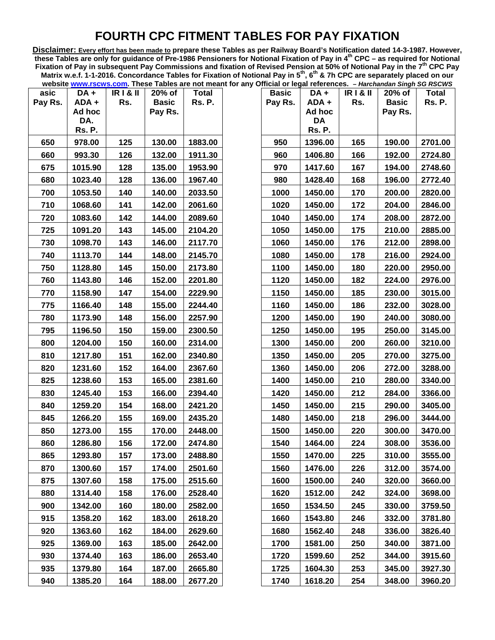| asic    | DA +          | <b>IR I &amp; II</b> | 20% of       | <b>Total</b>  |
|---------|---------------|----------------------|--------------|---------------|
| Pay Rs. | ADA +         | Rs.                  | <b>Basic</b> | <b>Rs. P.</b> |
|         | Ad hoc<br>DA. |                      | Pay Rs.      |               |
|         | <b>Rs. P.</b> |                      |              |               |
| 650     | 978.00        | 125                  | 130.00       | 1883.00       |
| 660     | 993.30        | 126                  | 132.00       | 1911.30       |
| 675     | 1015.90       | 128                  | 135.00       | 1953.90       |
| 680     | 1023.40       | 128                  | 136.00       | 1967.40       |
| 700     | 1053.50       | 140                  | 140.00       | 2033.50       |
| 710     | 1068.60       | 141                  | 142.00       | 2061.60       |
| 720     | 1083.60       | 142                  | 144.00       | 2089.60       |
| 725     | 1091.20       | 143                  | 145.00       | 2104.20       |
| 730     | 1098.70       | 143                  | 146.00       | 2117.70       |
| 740     | 1113.70       | 144                  | 148.00       | 2145.70       |
| 750     | 1128.80       | 145                  | 150.00       | 2173.80       |
| 760     | 1143.80       | 146                  | 152.00       | 2201.80       |
| 770     | 1158.90       | 147                  | 154.00       | 2229.90       |
| 775     | 1166.40       | 148                  | 155.00       | 2244.40       |
| 780     | 1173.90       | 148                  | 156.00       | 2257.90       |
| 795     | 1196.50       | 150                  | 159.00       | 2300.50       |
| 800     | 1204.00       | 150                  | 160.00       | 2314.00       |
| 810     | 1217.80       | 151                  | 162.00       | 2340.80       |
| 820     | 1231.60       | 152                  | 164.00       | 2367.60       |
| 825     | 1238.60       | 153                  | 165.00       | 2381.60       |
| 830     | 1245.40       | 153                  | 166.00       | 2394.40       |
| 840     | 1259.20       | 154                  | 168.00       | 2421.20       |
| 845     | 1266.20       | 155                  | 169.00       | 2435.20       |
| 850     | 1273.00       | 155                  | 170.00       | 2448.00       |
| 860     | 1286.80       | 156                  | 172.00       | 2474.80       |
| 865     | 1293.80       | 157                  | 173.00       | 2488.80       |
| 870     | 1300.60       | 157                  | 174.00       | 2501.60       |
| 875     | 1307.60       | 158                  | 175.00       | 2515.60       |
| 880     | 1314.40       | 158                  | 176.00       | 2528.40       |
| 900     | 1342.00       | 160                  | 180.00       | 2582.00       |
| 915     | 1358.20       | 162                  | 183.00       | 2618.20       |
| 920     | 1363.60       | 162                  | 184.00       | 2629.60       |
| 925     | 1369.00       | 163                  | 185.00       | 2642.00       |
| 930     | 1374.40       | 163                  | 186.00       | 2653.40       |
| 935     | 1379.80       | 164                  | 187.00       | 2665.80       |
| 940     | 1385.20       | 164                  | 188.00       | 2677.20       |

| <b>Basic</b><br>Pay Rs. | DA +<br>ADA + | IR I & II<br>Rs. | 20% of<br><b>Basic</b> | Total<br>Rs. P. |
|-------------------------|---------------|------------------|------------------------|-----------------|
|                         | Ad hoc        |                  | Pay Rs.                |                 |
|                         | <b>DA</b>     |                  |                        |                 |
|                         | Rs. P.        |                  |                        |                 |
| 950                     | 1396.00       | 165              | 190.00                 | 2701.00         |
| 960                     | 1406.80       | 166              | 192.00                 | 2724.80         |
| 970                     | 1417.60       | 167              | 194.00                 | 2748.60         |
| 980                     | 1428.40       | 168              | 196.00                 | 2772.40         |
| 1000                    | 1450.00       | 170              | 200.00                 | 2820.00         |
| 1020                    | 1450.00       | 172              | 204.00                 | 2846.00         |
| 1040                    | 1450.00       | 174              | 208.00                 | 2872.00         |
| 1050                    | 1450.00       | 175              | 210.00                 | 2885.00         |
| 1060                    | 1450.00       | 176              | 212.00                 | 2898.00         |
| 1080                    | 1450.00       | 178              | 216.00                 | 2924.00         |
| 1100                    | 1450.00       | 180              | 220.00                 | 2950.00         |
| 1120                    | 1450.00       | 182              | 224.00                 | 2976.00         |
| 1150                    | 1450.00       | 185              | 230.00                 | 3015.00         |
| 1160                    | 1450.00       | 186              | 232.00                 | 3028.00         |
| 1200                    | 1450.00       | 190              | 240.00                 | 3080.00         |
| 1250                    | 1450.00       | 195              | 250.00                 | 3145.00         |
| 1300                    | 1450.00       | 200              | 260.00                 | 3210.00         |
| 1350                    | 1450.00       | 205              | 270.00                 | 3275.00         |
| 1360                    | 1450.00       | 206              | 272.00                 | 3288.00         |
| 1400                    | 1450.00       | 210              | 280.00                 | 3340.00         |
| 1420                    | 1450.00       | 212              | 284.00                 | 3366.00         |
| 1450                    | 1450.00       | 215              | 290.00                 | 3405.00         |
| 1480                    | 1450.00       | 218              | 296.00                 | 3444.00         |
| 1500                    | 1450.00       | 220              | 300.00                 | 3470.00         |
| 1540                    | 1464.00       | 224              | 308.00                 | 3536.00         |
| 1550                    | 1470.00       | 225              | 310.00                 | 3555.00         |
| 1560                    | 1476.00       | 226              | 312.00                 | 3574.00         |
| 1600                    | 1500.00       | 240              | 320.00                 | 3660.00         |
| 1620                    | 1512.00       | 242              | 324.00                 | 3698.00         |
| 1650                    | 1534.50       | 245              | 330.00                 | 3759.50         |
| 1660                    | 1543.80       | 246              | 332.00                 | 3781.80         |
| 1680                    | 1562.40       | 248              | 336.00                 | 3826.40         |
| 1700                    | 1581.00       | 250              | 340.00                 | 3871.00         |
| 1720                    | 1599.60       | 252              | 344.00                 | 3915.60         |
| 1725                    | 1604.30       | 253              | 345.00                 | 3927.30         |
| 1740                    | 1618.20       | 254              | 348.00                 | 3960.20         |